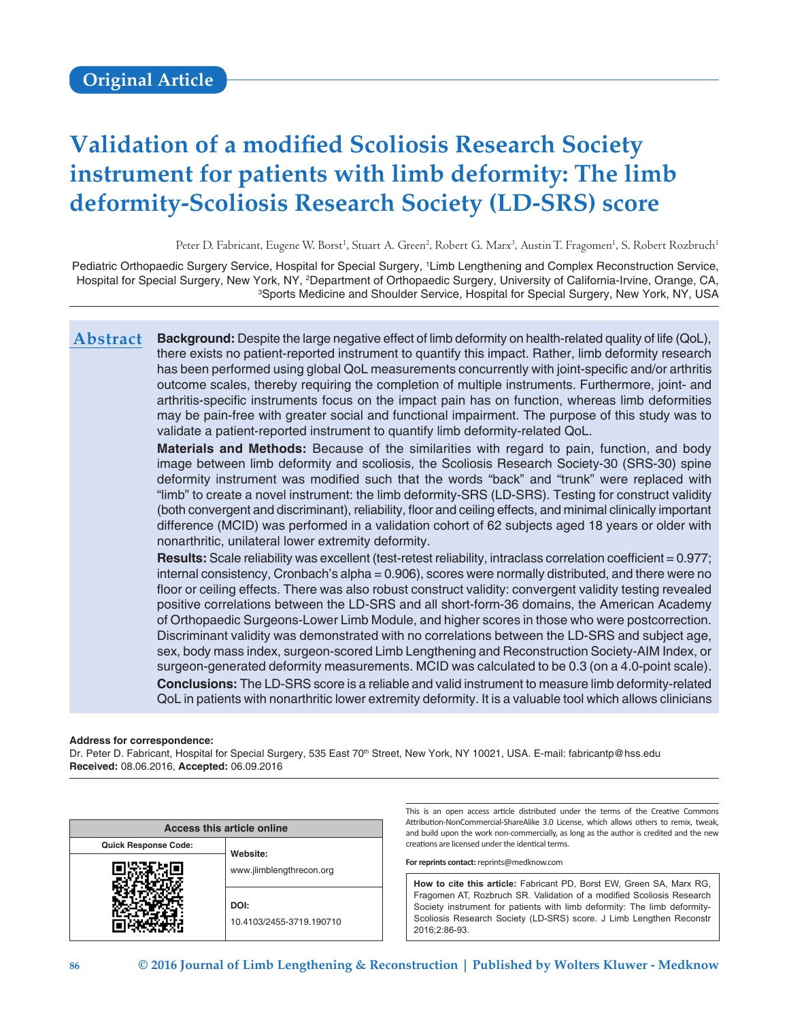# **Validation of a modified Scoliosis Research Society instrument for patients with limb deformity: The limb deformity‑Scoliosis Research Society (LD-SRS) score**

Peter D. Fabricant, Eugene W. Borst<sup>1</sup>, Stuart A. Green<sup>2</sup>, Robert G. Marx<sup>3</sup>, Austin T. Fragomen<sup>1</sup>, S. Robert Rozbruch<sup>1</sup>

Pediatric Orthopaedic Surgery Service, Hospital for Special Surgery, 1 Limb Lengthening and Complex Reconstruction Service, Hospital for Special Surgery, New York, NY, <sup>2</sup>Department of Orthopaedic Surgery, University of California-Irvine, Orange, CA,<br>Sports Medicine and Shoulder Service, Hospital for Special Surgery, New York, NY, USA Sports Medicine and Shoulder Service, Hospital for Special Surgery, New York, NY, USA

**Background:** Despite the large negative effect of limb deformity on health-related quality of life (QoL), there exists no patient-reported instrument to quantify this impact. Rather, limb deformity research has been performed using global QoL measurements concurrently with joint-specific and/or arthritis outcome scales, thereby requiring the completion of multiple instruments. Furthermore, joint- and arthritis‑specific instruments focus on the impact pain has on function, whereas limb deformities may be pain-free with greater social and functional impairment. The purpose of this study was to validate a patient-reported instrument to quantify limb deformity-related QoL. **Abstract**

> **Materials and Methods:** Because of the similarities with regard to pain, function, and body image between limb deformity and scoliosis, the Scoliosis Research Society-30 (SRS-30) spine deformity instrument was modified such that the words "back" and "trunk" were replaced with "limb" to create a novel instrument: the limb deformity‑SRS (LD‑SRS). Testing for construct validity (both convergent and discriminant), reliability, floor and ceiling effects, and minimal clinically important difference (MCID) was performed in a validation cohort of 62 subjects aged 18 years or older with nonarthritic, unilateral lower extremity deformity.

> Results: Scale reliability was excellent (test-retest reliability, intraclass correlation coefficient = 0.977; internal consistency, Cronbach's alpha = 0.906), scores were normally distributed, and there were no floor or ceiling effects. There was also robust construct validity: convergent validity testing revealed positive correlations between the LD-SRS and all short-form-36 domains, the American Academy of Orthopaedic Surgeons-Lower Limb Module, and higher scores in those who were postcorrection. Discriminant validity was demonstrated with no correlations between the LD-SRS and subject age, sex, body mass index, surgeon-scored Limb Lengthening and Reconstruction Society-AIM Index, or surgeon-generated deformity measurements. MCID was calculated to be 0.3 (on a 4.0-point scale). **Conclusions:** The LD-SRS score is a reliable and valid instrument to measure limb deformity-related QoL in patients with nonarthritic lower extremity deformity. It is a valuable tool which allows clinicians

#### **Address for correspondence:**

Dr. Peter D. Fabricant, Hospital for Special Surgery, 535 East 70<sup>th</sup> Street, New York, NY 10021, USA. E-mail: fabricantp@hss.edu **Received:** 08.06.2016, **Accepted:** 06.09.2016

| Access this article online  |                                  |  |  |  |
|-----------------------------|----------------------------------|--|--|--|
| <b>Quick Response Code:</b> | Website:                         |  |  |  |
|                             | www.jlimblengthrecon.org         |  |  |  |
|                             | DOI:<br>10.4103/2455-3719.190710 |  |  |  |

This is an open access article distributed under the terms of the Creative Commons Attribution-NonCommercial-ShareAlike 3.0 License, which allows others to remix, tweak, and build upon the work non-commercially, as long as the author is credited and the new creations are licensed under the identical terms.

**For reprints contact:** reprints@medknow.com

**How to cite this article:** Fabricant PD, Borst EW, Green SA, Marx RG, Fragomen AT, Rozbruch SR. Validation of a modified Scoliosis Research Society instrument for patients with limb deformity: The limb deformity-Scoliosis Research Society (LD-SRS) score. J Limb Lengthen Reconstr 2016;2:86-93.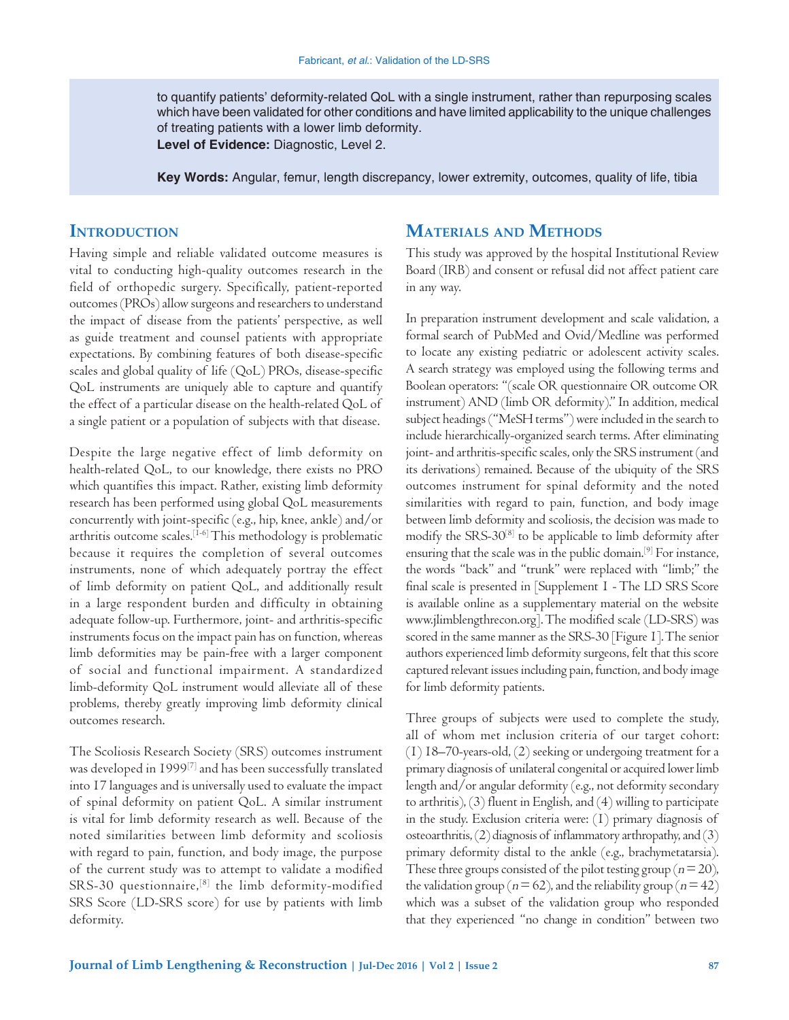to quantify patients' deformity-related QoL with a single instrument, rather than repurposing scales which have been validated for other conditions and have limited applicability to the unique challenges of treating patients with a lower limb deformity.

**Level of Evidence:** Diagnostic, Level 2.

**Key Words:** Angular, femur, length discrepancy, lower extremity, outcomes, quality of life, tibia

# **INTRODUCTION**

Having simple and reliable validated outcome measures is vital to conducting high-quality outcomes research in the field of orthopedic surgery. Specifically, patient-reported outcomes (PROs) allow surgeons and researchers to understand the impact of disease from the patients' perspective, as well as guide treatment and counsel patients with appropriate expectations. By combining features of both disease‑specific scales and global quality of life (QoL) PROs, disease-specific QoL instruments are uniquely able to capture and quantify the effect of a particular disease on the health-related QoL of a single patient or a population of subjects with that disease.

Despite the large negative effect of limb deformity on health-related QoL, to our knowledge, there exists no PRO which quantifies this impact. Rather, existing limb deformity research has been performed using global QoL measurements concurrently with joint‑specific (e.g., hip, knee, ankle) and/or arthritis outcome scales.[1‑6] This methodology is problematic because it requires the completion of several outcomes instruments, none of which adequately portray the effect of limb deformity on patient QoL, and additionally result in a large respondent burden and difficulty in obtaining adequate follow‑up. Furthermore, joint‑ and arthritis‑specific instruments focus on the impact pain has on function, whereas limb deformities may be pain‑free with a larger component of social and functional impairment. A standardized limb‑deformity QoL instrument would alleviate all of these problems, thereby greatly improving limb deformity clinical outcomes research.

The Scoliosis Research Society (SRS) outcomes instrument was developed in 1999[7] and has been successfully translated into 17 languages and is universally used to evaluate the impact of spinal deformity on patient QoL. A similar instrument is vital for limb deformity research as well. Because of the noted similarities between limb deformity and scoliosis with regard to pain, function, and body image, the purpose of the current study was to attempt to validate a modified SRS-30 questionnaire,<sup>[8]</sup> the limb deformity-modified SRS Score (LD‑SRS score) for use by patients with limb deformity.

# **Materials and Methods**

This study was approved by the hospital Institutional Review Board (IRB) and consent or refusal did not affect patient care in any way.

In preparation instrument development and scale validation, a formal search of PubMed and Ovid/Medline was performed to locate any existing pediatric or adolescent activity scales. A search strategy was employed using the following terms and Boolean operators: "(scale OR questionnaire OR outcome OR instrument) AND (limb OR deformity)." In addition, medical subject headings("MeSH terms") were included in the search to include hierarchically‑organized search terms. After eliminating joint- and arthritis-specific scales, only the SRS instrument (and its derivations) remained. Because of the ubiquity of the SRS outcomes instrument for spinal deformity and the noted similarities with regard to pain, function, and body image between limb deformity and scoliosis, the decision was made to modify the SRS‑30[8] to be applicable to limb deformity after ensuring that the scale was in the public domain.[9] For instance, the words "back" and "trunk" were replaced with "limb;" the final scale is presented in [Supplement 1 - The LD SRS Score is available online as a supplementary material on the website www.jlimblengthrecon.org]. The modified scale (LD‑SRS) was scored in the same manner as the SRS-30 [Figure 1]. The senior authors experienced limb deformity surgeons, felt that this score captured relevant issues including pain, function, and body image for limb deformity patients.

Three groups of subjects were used to complete the study, all of whom met inclusion criteria of our target cohort: (1) 18–70‑years‑old, (2) seeking or undergoing treatment for a primary diagnosis of unilateral congenital or acquired lower limb length and/or angular deformity (e.g., not deformity secondary to arthritis), (3) fluent in English, and (4) willing to participate in the study. Exclusion criteria were: (1) primary diagnosis of osteoarthritis,(2) diagnosis of inflammatory arthropathy, and (3) primary deformity distal to the ankle (e.g., brachymetatarsia). These three groups consisted of the pilot testing group ( $n=20$ ), the validation group ( $n=62$ ), and the reliability group ( $n=42$ ) which was a subset of the validation group who responded that they experienced "no change in condition" between two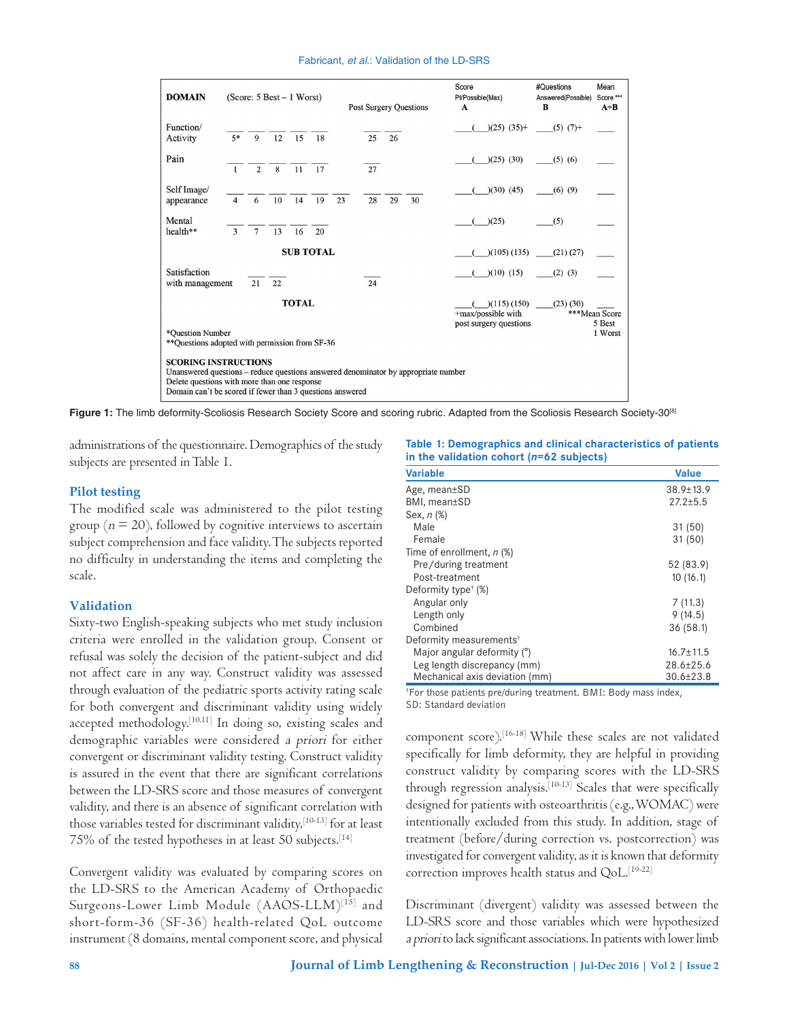#### Fabricant, *et al*.: Validation of the LD‑SRS

| <b>DOMAIN</b>                                                                                                                                                                                                                  | (Score: $5$ Best $-1$ Worst)   |              |                  |          |  |    | <b>Post Surgery Questions</b> | Score<br>Pt/Possible(Max)<br>A                                  | #Questions<br>Answered(Possible)<br>B | Mean<br>Score ***<br>$A \div B$ |
|--------------------------------------------------------------------------------------------------------------------------------------------------------------------------------------------------------------------------------|--------------------------------|--------------|------------------|----------|--|----|-------------------------------|-----------------------------------------------------------------|---------------------------------------|---------------------------------|
| Function/<br>Activity                                                                                                                                                                                                          | $5*$<br>$\mathbf{Q}$           | 12           | 15<br>18         |          |  | 25 | 26                            |                                                                 | $(25)$ $(35)$ + $(5)$ $(7)$ +         |                                 |
| Pain                                                                                                                                                                                                                           | $\mathbf{1}$<br>$\mathfrak{D}$ | $\mathbf{g}$ | $11 \t 17$       |          |  | 27 |                               | $(25)$ $(30)$                                                   | $(5)$ $(6)$                           |                                 |
| Self Image/<br>appearance                                                                                                                                                                                                      | 6<br>$\boldsymbol{\Delta}$     | 10           | 14               | 19<br>23 |  | 28 | 29<br>30                      | $(30)$ $(45)$                                                   | $(6)$ $(9)$                           |                                 |
| Mental<br>health**                                                                                                                                                                                                             | 3<br>$7\overline{ }$           | 13           | 16               | 20       |  |    |                               | )(25)                                                           | (5)                                   |                                 |
|                                                                                                                                                                                                                                |                                |              | <b>SUB TOTAL</b> |          |  |    |                               | $(105)$ $(135)$                                                 | $(21)$ $(27)$                         |                                 |
| Satisfaction<br>with management                                                                                                                                                                                                | 21                             | 22           |                  |          |  | 24 |                               | $(10)$ $(15)$                                                   | $(2)$ $(3)$                           |                                 |
|                                                                                                                                                                                                                                |                                |              | <b>TOTAL</b>     |          |  |    |                               | $($ (115) (150)<br>+max/possible with<br>post surgery questions | $(23)$ $(30)$                         | ***Mean Score<br>5 Best         |
| *Ouestion Number<br>1 Worst<br>** Questions adopted with permission from SF-36                                                                                                                                                 |                                |              |                  |          |  |    |                               |                                                                 |                                       |                                 |
| <b>SCORING INSTRUCTIONS</b><br>Unanswered questions – reduce questions answered denominator by appropriate number<br>Delete questions with more than one response<br>Domain can't be scored if fewer than 3 questions answered |                                |              |                  |          |  |    |                               |                                                                 |                                       |                                 |

**Figure 1:** The limb deformity-Scoliosis Research Society Score and scoring rubric. Adapted from the Scoliosis Research Society-30[8]

administrations of the questionnaire. Demographics of the study subjects are presented in Table 1.

#### **Pilot testing**

The modified scale was administered to the pilot testing group ( $n = 20$ ), followed by cognitive interviews to ascertain subject comprehension and face validity. The subjects reported no difficulty in understanding the items and completing the scale.

#### **Validation**

Sixty-two English-speaking subjects who met study inclusion criteria were enrolled in the validation group. Consent or refusal was solely the decision of the patient-subject and did not affect care in any way. Construct validity was assessed through evaluation of the pediatric sports activity rating scale for both convergent and discriminant validity using widely accepted methodology.[10,11] In doing so, existing scales and demographic variables were considered a priori for either convergent or discriminant validity testing. Construct validity is assured in the event that there are significant correlations between the LD‑SRS score and those measures of convergent validity, and there is an absence of significant correlation with those variables tested for discriminant validity,<sup>[10-13]</sup> for at least 75% of the tested hypotheses in at least 50 subjects.<sup>[14]</sup>

Convergent validity was evaluated by comparing scores on the LD‑SRS to the American Academy of Orthopaedic Surgeons-Lower Limb Module (AAOS-LLM)<sup>[15]</sup> and short-form-36 (SF-36) health-related QoL outcome instrument (8 domains, mental component score, and physical

**Table 1: Demographics and clinical characteristics of patients in the validation cohort (***n***=62 subjects)**

| <b>Variable</b>                     | <b>Value</b>    |
|-------------------------------------|-----------------|
| Age, mean±SD                        | $38.9 \pm 13.9$ |
| BMI, mean±SD                        | $27.2 + 5.5$    |
| Sex, n (%)                          |                 |
| Male                                | 31(50)          |
| Female                              | 31(50)          |
| Time of enrollment, n (%)           |                 |
| Pre/during treatment                | 52 (83.9)       |
| Post-treatment                      | 10(16.1)        |
| Deformity type <sup>†</sup> (%)     |                 |
| Angular only                        | 7(11.3)         |
| Length only                         | 9(14.5)         |
| Combined                            | 36(58.1)        |
| Deformity measurements <sup>†</sup> |                 |
| Major angular deformity (°)         | $16.7 \pm 11.5$ |
| Leg length discrepancy (mm)         | $28.6 + 25.6$   |
| Mechanical axis deviation (mm)      | $30.6 \pm 23.8$ |

† For those patients pre/during treatment. BMI: Body mass index, SD: Standard deviation

component score).[16‑18] While these scales are not validated specifically for limb deformity, they are helpful in providing construct validity by comparing scores with the LD‑SRS through regression analysis.<sup>[10-13]</sup> Scales that were specifically designed for patients with osteoarthritis (e.g.,WOMAC) were intentionally excluded from this study. In addition, stage of treatment (before/during correction vs. postcorrection) was investigated for convergent validity, as it is known that deformity correction improves health status and QoL.<sup>[19-22]</sup>

Discriminant (divergent) validity was assessed between the LD‑SRS score and those variables which were hypothesized a priori to lack significant associations. In patients with lower limb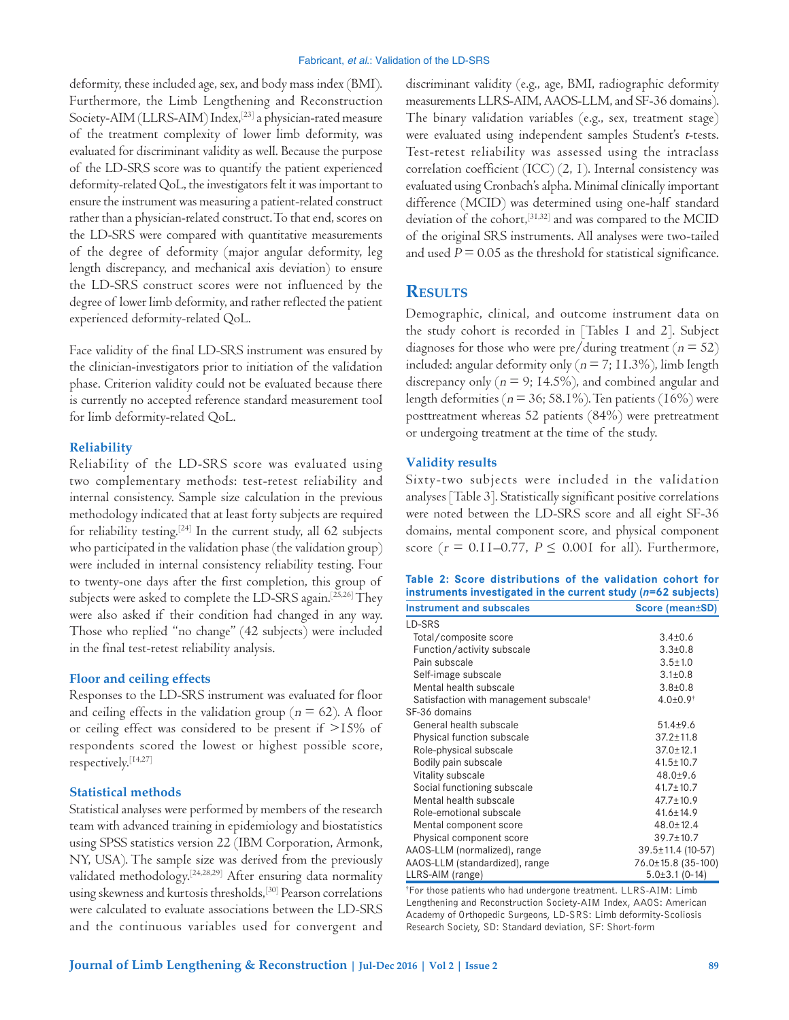deformity, these included age, sex, and body mass index (BMI). Furthermore, the Limb Lengthening and Reconstruction Society-AIM (LLRS-AIM) Index,<sup>[23]</sup> a physician-rated measure of the treatment complexity of lower limb deformity, was evaluated for discriminant validity as well. Because the purpose of the LD‑SRS score was to quantify the patient experienced deformity‑related QoL, the investigators felt it was important to ensure the instrument was measuring a patient-related construct rather than a physician-related construct. To that end, scores on the LD‑SRS were compared with quantitative measurements of the degree of deformity (major angular deformity, leg length discrepancy, and mechanical axis deviation) to ensure the LD‑SRS construct scores were not influenced by the degree of lower limb deformity, and rather reflected the patient experienced deformity‑related QoL.

Face validity of the final LD‑SRS instrument was ensured by the clinician‑investigators prior to initiation of the validation phase. Criterion validity could not be evaluated because there is currently no accepted reference standard measurement tool for limb deformity-related QoL.

#### **Reliability**

Reliability of the LD‑SRS score was evaluated using two complementary methods: test‑retest reliability and internal consistency. Sample size calculation in the previous methodology indicated that at least forty subjects are required for reliability testing.[24] In the current study, all 62 subjects who participated in the validation phase (the validation group) were included in internal consistency reliability testing. Four to twenty‑one days after the first completion, this group of subjects were asked to complete the LD-SRS again.<sup>[25,26]</sup> They were also asked if their condition had changed in any way. Those who replied "no change" (42 subjects) were included in the final test‑retest reliability analysis.

#### **Floor and ceiling effects**

Responses to the LD‑SRS instrument was evaluated for floor and ceiling effects in the validation group ( $n = 62$ ). A floor or ceiling effect was considered to be present if >15% of respondents scored the lowest or highest possible score, respectively.[14,27]

### **Statistical methods**

Statistical analyses were performed by members of the research team with advanced training in epidemiology and biostatistics using SPSS statistics version 22 (IBM Corporation, Armonk, NY, USA). The sample size was derived from the previously validated methodology.[24,28,29] After ensuring data normality using skewness and kurtosis thresholds,[30] Pearson correlations were calculated to evaluate associations between the LD‑SRS and the continuous variables used for convergent and discriminant validity (e.g., age, BMI, radiographic deformity measurements LLRS‑AIM, AAOS‑LLM, and SF‑36 domains). The binary validation variables (e.g., sex, treatment stage) were evaluated using independent samples Student's t-tests. Test-retest reliability was assessed using the intraclass correlation coefficient (ICC) (2, 1). Internal consistency was evaluated using Cronbach's alpha. Minimal clinically important difference (MCID) was determined using one-half standard deviation of the cohort,[31,32] and was compared to the MCID of the original SRS instruments. All analyses were two-tailed and used  $P = 0.05$  as the threshold for statistical significance.

## **Results**

Demographic, clinical, and outcome instrument data on the study cohort is recorded in [Tables 1 and 2]. Subject diagnoses for those who were pre/during treatment ( $n = 52$ ) included: angular deformity only ( $n = 7$ ; 11.3%), limb length discrepancy only ( $n = 9$ ; 14.5%), and combined angular and length deformities ( $n = 36$ ; 58.1%). Ten patients (16%) were posttreatment whereas 52 patients (84%) were pretreatment or undergoing treatment at the time of the study.

## **Validity results**

Sixty‑two subjects were included in the validation analyses [Table 3]. Statistically significant positive correlations were noted between the LD‑SRS score and all eight SF‑36 domains, mental component score, and physical component score ( $r = 0.11$ –0.77,  $P \le 0.001$  for all). Furthermore,

|  | Table 2: Score distributions of the validation cohort for       |  |                 |  |
|--|-----------------------------------------------------------------|--|-----------------|--|
|  | instruments investigated in the current study $(n=62$ subjects) |  |                 |  |
|  | <b>Instrument and subscales</b>                                 |  | Score (mean±SD) |  |

| LD-SRS                                             |                         |
|----------------------------------------------------|-------------------------|
| Total/composite score                              | $3.4 \pm 0.6$           |
| Function/activity subscale                         | $3.3 \pm 0.8$           |
| Pain subscale                                      | $3.5 \pm 1.0$           |
| Self-image subscale                                | $3.1 \pm 0.8$           |
| Mental health subscale                             | $3.8 + 0.8$             |
| Satisfaction with management subscale <sup>†</sup> | $4.0{\pm}0.9^{\dagger}$ |
| SF-36 domains                                      |                         |
| General health subscale                            | $51.4 + 9.6$            |
| Physical function subscale                         | $37.2 \pm 11.8$         |
| Role-physical subscale                             | $37.0 \pm 12.1$         |
| Bodily pain subscale                               | $41.5 \pm 10.7$         |
| Vitality subscale                                  | $48.0 + 9.6$            |
| Social functioning subscale                        | $41.7 \pm 10.7$         |
| Mental health subscale                             | $47.7 \pm 10.9$         |
| Role-emotional subscale                            | $41.6 \pm 14.9$         |
| Mental component score                             | $48.0 \pm 12.4$         |
| Physical component score                           | $39.7 \pm 10.7$         |
| AAOS-LLM (normalized), range                       | $39.5 \pm 11.4$ (10-57) |
| AAOS-LLM (standardized), range                     | 76.0±15.8 (35-100)      |
| LLRS-AIM (range)                                   | $5.0\pm3.1$ (0-14)      |

† For those patients who had undergone treatment. LLRS‑AIM: Limb Lengthening and Reconstruction Society‑AIM Index, AAOS: American Academy of Orthopedic Surgeons, LD‑SRS: Limb deformity‑Scoliosis Research Society, SD: Standard deviation, SF: Short-form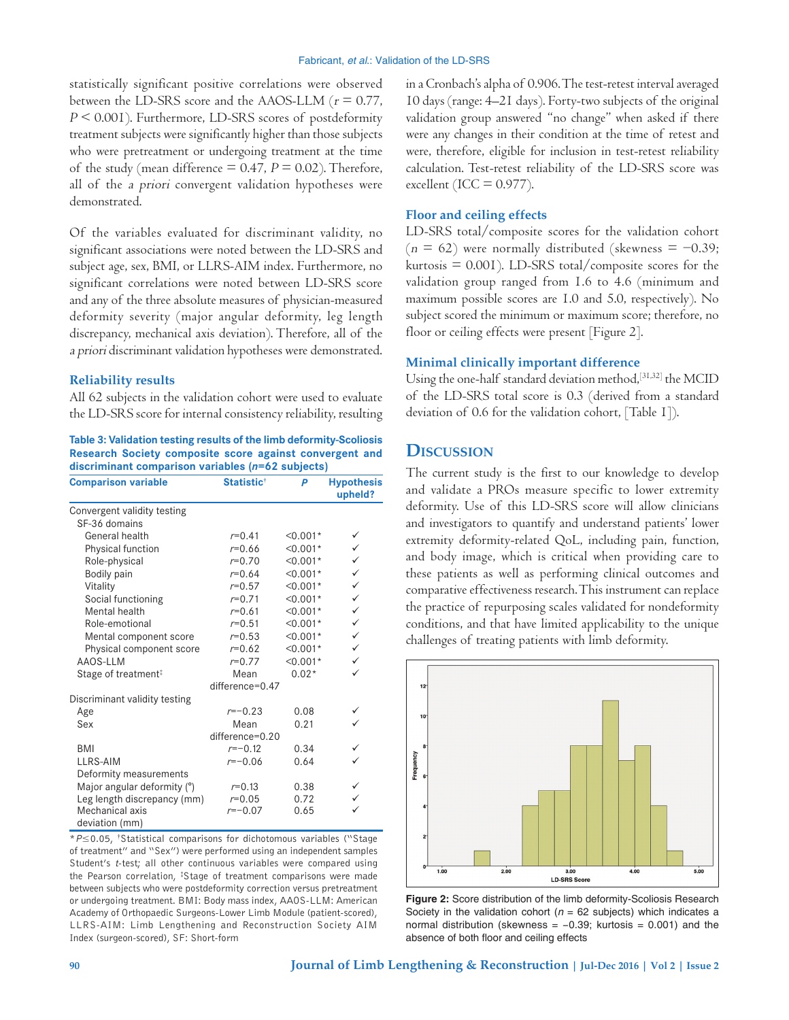statistically significant positive correlations were observed between the LD-SRS score and the AAOS-LLM ( $r = 0.77$ ,  $P \leq 0.001$ ). Furthermore, LD-SRS scores of postdeformity treatment subjects were significantly higher than those subjects who were pretreatment or undergoing treatment at the time of the study (mean difference  $= 0.47$ ,  $P = 0.02$ ). Therefore, all of the a priori convergent validation hypotheses were demonstrated.

Of the variables evaluated for discriminant validity, no significant associations were noted between the LD‑SRS and subject age, sex, BMI, or LLRS‑AIM index. Furthermore, no significant correlations were noted between LD‑SRS score and any of the three absolute measures of physician-measured deformity severity (major angular deformity, leg length discrepancy, mechanical axis deviation). Therefore, all of the a priori discriminant validation hypotheses were demonstrated.

#### **Reliability results**

All 62 subjects in the validation cohort were used to evaluate the LD‑SRS score for internal consistency reliability, resulting

**Table 3: Validation testing results of the limb deformity‑Scoliosis Research Society composite score against convergent and discriminant comparison variables (***n***=62 subjects)**

| <b>Comparison variable</b>      | <b>Statistic<sup>t</sup></b> | P          | <b>Hypothesis</b><br>upheld? |
|---------------------------------|------------------------------|------------|------------------------------|
| Convergent validity testing     |                              |            |                              |
| SF-36 domains                   |                              |            |                              |
| General health                  | $r=0.41$                     | $< 0.001*$ | ✓                            |
| Physical function               | $r=0.66$                     | $< 0.001*$ | $\checkmark$                 |
| Role-physical                   | $r = 0.70$                   | $< 0.001*$ | $\checkmark$                 |
| Bodily pain                     | $r=0.64$                     | $< 0.001*$ | $\checkmark$                 |
| Vitality                        | $r=0.57$                     | $< 0.001*$ | $\checkmark$                 |
| Social functioning              | $r=0.71$                     | $< 0.001*$ | $\checkmark$                 |
| Mental health                   | $r=0.61$                     | $< 0.001*$ | $\checkmark$                 |
| Role-emotional                  | $r = 0.51$                   | $< 0.001*$ | $\checkmark$                 |
| Mental component score          | $r = 0.53$                   | $< 0.001*$ | $\checkmark$                 |
| Physical component score        | $r=0.62$                     | $< 0.001*$ | $\checkmark$                 |
| AAOS-LLM                        | $r = 0.77$                   | $< 0.001*$ | ✓                            |
| Stage of treatment <sup>‡</sup> | Mean                         | $0.02*$    | ✓                            |
|                                 | $difference=0.47$            |            |                              |
| Discriminant validity testing   |                              |            |                              |
| Age                             | $r=-0.23$                    | 0.08       |                              |
| Sex                             | Mean                         | 0.21       | ✓                            |
|                                 | difference=0.20              |            |                              |
| BMI                             | $r=-0.12$                    | 0.34       | ✓                            |
| LLRS-AIM                        | $r=-0.06$                    | 0.64       | ✓                            |
| Deformity measurements          |                              |            |                              |
| Major angular deformity (°)     | $r = 0.13$                   | 0.38       | ✓                            |
| Leg length discrepancy (mm)     | $r = 0.05$                   | 0.72       | $\checkmark$                 |
| Mechanical axis                 | $r=-0.07$                    | 0.65       |                              |
| deviation (mm)                  |                              |            |                              |

\**P*≤0.05, † Statistical comparisons for dichotomous variables ("Stage of treatment" and "Sex") were performed using an independent samples Student's *t*-test; all other continuous variables were compared using the Pearson correlation, ‡ Stage of treatment comparisons were made between subjects who were postdeformity correction versus pretreatment or undergoing treatment. BMI: Body mass index, AAOS‑LLM: American Academy of Orthopaedic Surgeons‑Lower Limb Module (patient‑scored), LLRS‑AIM: Limb Lengthening and Reconstruction Society AIM Index (surgeon‑scored), SF: Short‑form

in a Cronbach's alpha of 0.906. The test-retest interval averaged 10 days (range: 4–21 days). Forty-two subjects of the original validation group answered "no change" when asked if there were any changes in their condition at the time of retest and were, therefore, eligible for inclusion in test-retest reliability calculation. Test-retest reliability of the LD-SRS score was excellent (ICC =  $0.977$ ).

### **Floor and ceiling effects**

LD-SRS total/composite scores for the validation cohort  $(n = 62)$  were normally distributed (skewness = -0.39; kurtosis  $= 0.001$ ). LD-SRS total/composite scores for the validation group ranged from 1.6 to 4.6 (minimum and maximum possible scores are 1.0 and 5.0, respectively). No subject scored the minimum or maximum score; therefore, no floor or ceiling effects were present [Figure 2].

#### **Minimal clinically important difference**

Using the one-half standard deviation method, [31,32] the MCID of the LD‑SRS total score is 0.3 (derived from a standard deviation of 0.6 for the validation cohort, [Table 1]).

## **Discussion**

The current study is the first to our knowledge to develop and validate a PROs measure specific to lower extremity deformity. Use of this LD‑SRS score will allow clinicians and investigators to quantify and understand patients' lower extremity deformity-related QoL, including pain, function, and body image, which is critical when providing care to these patients as well as performing clinical outcomes and comparative effectiveness research. This instrument can replace the practice of repurposing scales validated for nondeformity conditions, and that have limited applicability to the unique challenges of treating patients with limb deformity.



**Figure 2:** Score distribution of the limb deformity-Scoliosis Research Society in the validation cohort ( $n = 62$  subjects) which indicates a normal distribution (skewness = −0.39; kurtosis = 0.001) and the absence of both floor and ceiling effects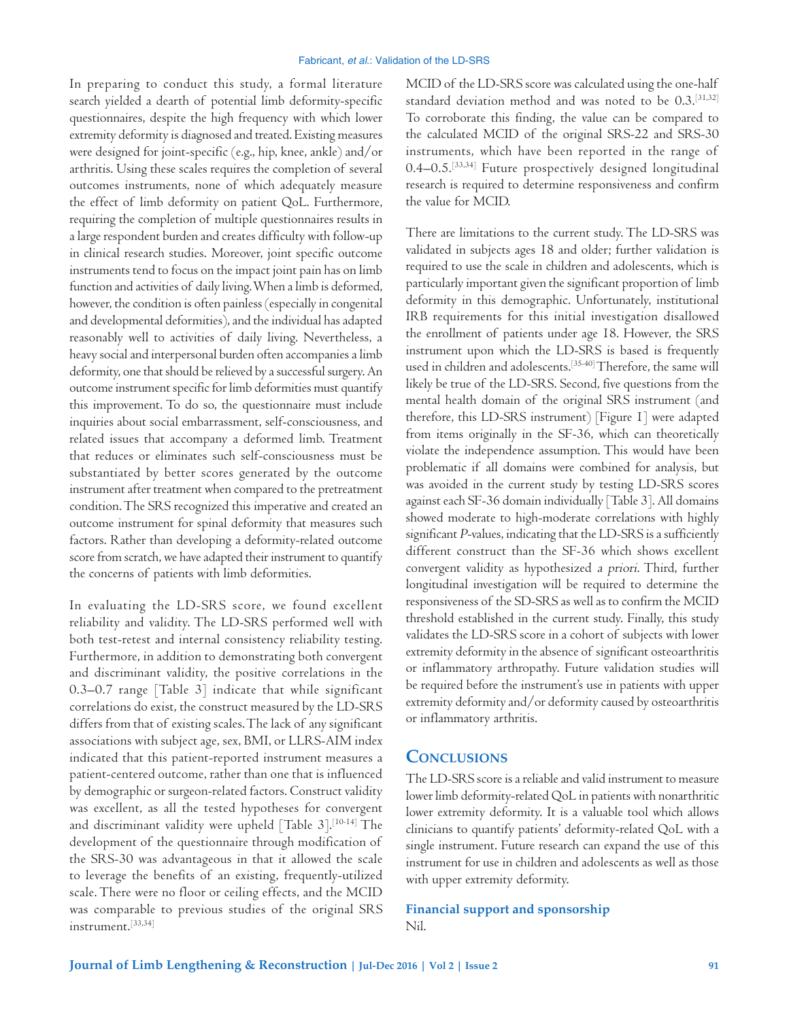In preparing to conduct this study, a formal literature search yielded a dearth of potential limb deformity-specific questionnaires, despite the high frequency with which lower extremity deformity is diagnosed and treated. Existing measures were designed for joint‑specific (e.g., hip, knee, ankle) and/or arthritis. Using these scales requires the completion of several outcomes instruments, none of which adequately measure the effect of limb deformity on patient QoL. Furthermore, requiring the completion of multiple questionnaires results in a large respondent burden and creates difficulty with follow‑up in clinical research studies. Moreover, joint specific outcome instruments tend to focus on the impact joint pain has on limb function and activities of daily living. When a limb is deformed, however, the condition is often painless (especially in congenital and developmental deformities), and the individual has adapted reasonably well to activities of daily living. Nevertheless, a heavy social and interpersonal burden often accompanies a limb deformity, one that should be relieved by a successful surgery. An outcome instrument specific for limb deformities must quantify this improvement. To do so, the questionnaire must include inquiries about social embarrassment, self‑consciousness, and related issues that accompany a deformed limb. Treatment that reduces or eliminates such self‑consciousness must be substantiated by better scores generated by the outcome instrument after treatment when compared to the pretreatment condition. The SRS recognized this imperative and created an outcome instrument for spinal deformity that measures such factors. Rather than developing a deformity‑related outcome score from scratch, we have adapted their instrument to quantify the concerns of patients with limb deformities.

In evaluating the LD‑SRS score, we found excellent reliability and validity. The LD‑SRS performed well with both test-retest and internal consistency reliability testing. Furthermore, in addition to demonstrating both convergent and discriminant validity, the positive correlations in the 0.3–0.7 range [Table 3] indicate that while significant correlations do exist, the construct measured by the LD‑SRS differs from that of existing scales. The lack of any significant associations with subject age, sex, BMI, or LLRS‑AIM index indicated that this patient‑reported instrument measures a patient-centered outcome, rather than one that is influenced by demographic or surgeon‑related factors. Construct validity was excellent, as all the tested hypotheses for convergent and discriminant validity were upheld [Table  $3$ ].<sup>[10-14]</sup> The development of the questionnaire through modification of the SRS‑30 was advantageous in that it allowed the scale to leverage the benefits of an existing, frequently‑utilized scale. There were no floor or ceiling effects, and the MCID was comparable to previous studies of the original SRS instrument.[33,34]

MCID of the LD-SRS score was calculated using the one-half standard deviation method and was noted to be 0.3.[31,32] To corroborate this finding, the value can be compared to the calculated MCID of the original SRS‑22 and SRS‑30 instruments, which have been reported in the range of 0.4–0.5.[33,34] Future prospectively designed longitudinal research is required to determine responsiveness and confirm the value for MCID.

There are limitations to the current study. The LD‑SRS was validated in subjects ages 18 and older; further validation is required to use the scale in children and adolescents, which is particularly important given the significant proportion of limb deformity in this demographic. Unfortunately, institutional IRB requirements for this initial investigation disallowed the enrollment of patients under age 18. However, the SRS instrument upon which the LD‑SRS is based is frequently used in children and adolescents.[35‑40] Therefore, the same will likely be true of the LD‑SRS. Second, five questions from the mental health domain of the original SRS instrument (and therefore, this LD‑SRS instrument) [Figure 1] were adapted from items originally in the SF‑36, which can theoretically violate the independence assumption. This would have been problematic if all domains were combined for analysis, but was avoided in the current study by testing LD-SRS scores against each SF‑36 domain individually [Table 3]. All domains showed moderate to high-moderate correlations with highly significant P-values, indicating that the LD-SRS is a sufficiently different construct than the SF‑36 which shows excellent convergent validity as hypothesized a priori. Third, further longitudinal investigation will be required to determine the responsiveness of the SD‑SRS as well as to confirm the MCID threshold established in the current study. Finally, this study validates the LD‑SRS score in a cohort of subjects with lower extremity deformity in the absence of significant osteoarthritis or inflammatory arthropathy. Future validation studies will be required before the instrument's use in patients with upper extremity deformity and/or deformity caused by osteoarthritis or inflammatory arthritis.

# **Conclusions**

The LD‑SRS score is a reliable and valid instrument to measure lower limb deformity-related QoL in patients with nonarthritic lower extremity deformity. It is a valuable tool which allows clinicians to quantify patients' deformity‑related QoL with a single instrument. Future research can expand the use of this instrument for use in children and adolescents as well as those with upper extremity deformity.

**Financial support and sponsorship** Nil.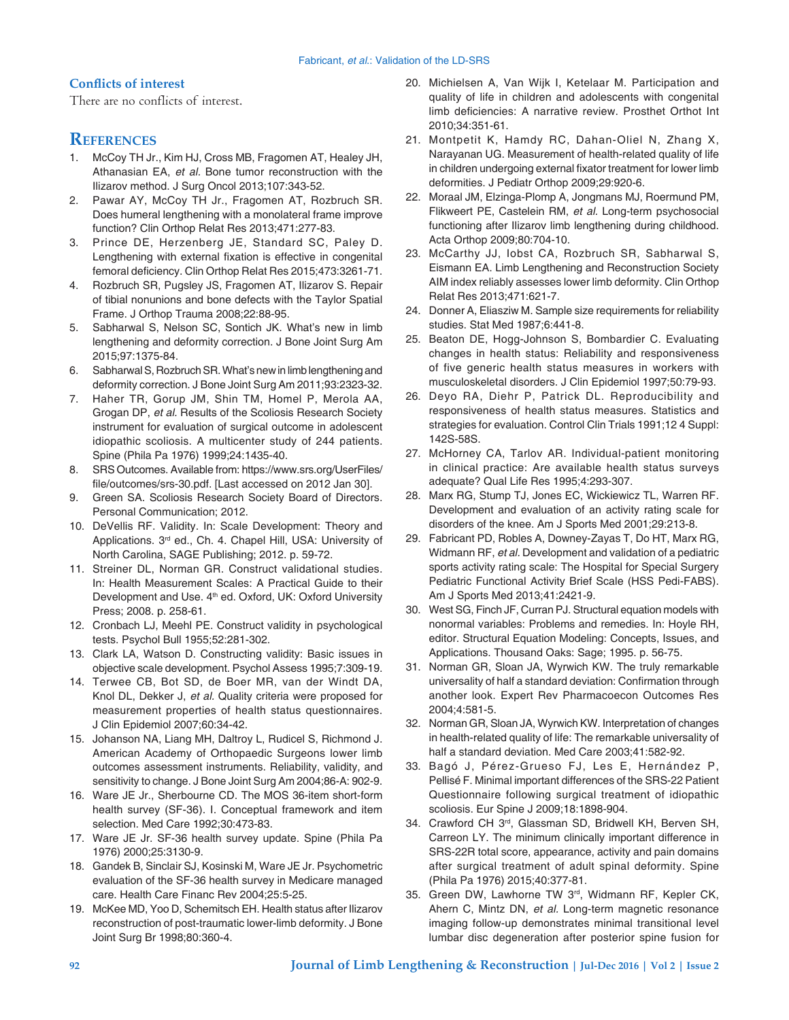### **Conflicts of interest**

There are no conflicts of interest.

# **References**

- 1. McCoy TH Jr., Kim HJ, Cross MB, Fragomen AT, Healey JH, Athanasian EA, *et al.* Bone tumor reconstruction with the Ilizarov method. J Surg Oncol 2013;107:343‑52.
- 2. Pawar AY, McCoy TH Jr., Fragomen AT, Rozbruch SR. Does humeral lengthening with a monolateral frame improve function? Clin Orthop Relat Res 2013;471:277‑83.
- 3. Prince DE, Herzenberg JE, Standard SC, Paley D. Lengthening with external fixation is effective in congenital femoral deficiency. Clin Orthop Relat Res 2015;473:3261-71.
- 4. Rozbruch SR, Pugsley JS, Fragomen AT, Ilizarov S. Repair of tibial nonunions and bone defects with the Taylor Spatial Frame. J Orthop Trauma 2008;22:88‑95.
- 5. Sabharwal S, Nelson SC, Sontich JK. What's new in limb lengthening and deformity correction. J Bone Joint Surg Am 2015;97:1375‑84.
- 6. Sabharwal S, Rozbruch SR. What's new in limb lengthening and deformity correction. J Bone Joint Surg Am 2011;93:2323‑32.
- 7. Haher TR, Gorup JM, Shin TM, Homel P, Merola AA, Grogan DP, *et al.* Results of the Scoliosis Research Society instrument for evaluation of surgical outcome in adolescent idiopathic scoliosis. A multicenter study of 244 patients. Spine (Phila Pa 1976) 1999;24:1435‑40.
- 8. SRS Outcomes. Available from: https://www.srs.org/UserFiles/ file/outcomes/srs‑30.pdf. [Last accessed on 2012 Jan 30].
- 9. Green SA. Scoliosis Research Society Board of Directors. Personal Communication; 2012.
- 10. DeVellis RF. Validity. In: Scale Development: Theory and Applications. 3rd ed., Ch. 4. Chapel Hill, USA: University of North Carolina, SAGE Publishing; 2012. p. 59‑72.
- 11. Streiner DL, Norman GR. Construct validational studies. In: Health Measurement Scales: A Practical Guide to their Development and Use. 4<sup>th</sup> ed. Oxford, UK: Oxford University Press; 2008. p. 258‑61.
- 12. Cronbach LJ, Meehl PE. Construct validity in psychological tests. Psychol Bull 1955;52:281‑302.
- 13. Clark LA, Watson D. Constructing validity: Basic issues in objective scale development. Psychol Assess 1995;7:309‑19.
- 14. Terwee CB, Bot SD, de Boer MR, van der Windt DA, Knol DL, Dekker J, *et al.* Quality criteria were proposed for measurement properties of health status questionnaires. J Clin Epidemiol 2007;60:34‑42.
- 15. Johanson NA, Liang MH, Daltroy L, Rudicel S, Richmond J. American Academy of Orthopaedic Surgeons lower limb outcomes assessment instruments. Reliability, validity, and sensitivity to change. J Bone Joint Surg Am 2004;86‑A: 902‑9.
- 16. Ware JE Jr., Sherbourne CD. The MOS 36-item short-form health survey (SF-36). I. Conceptual framework and item selection. Med Care 1992;30:473‑83.
- 17. Ware JE Jr. SF‑36 health survey update. Spine (Phila Pa 1976) 2000;25:3130‑9.
- 18. Gandek B, Sinclair SJ, Kosinski M, Ware JE Jr. Psychometric evaluation of the SF-36 health survey in Medicare managed care. Health Care Financ Rev 2004;25:5‑25.
- 19. McKee MD, Yoo D, Schemitsch EH. Health status after Ilizarov reconstruction of post-traumatic lower-limb deformity. J Bone Joint Surg Br 1998;80:360‑4.
- 20. Michielsen A, Van Wijk I, Ketelaar M. Participation and quality of life in children and adolescents with congenital limb deficiencies: A narrative review. Prosthet Orthot Int 2010;34:351‑61.
- 21. Montpetit K, Hamdy RC, Dahan-Oliel N, Zhang X, Narayanan UG. Measurement of health‑related quality of life in children undergoing external fixator treatment for lower limb deformities. J Pediatr Orthop 2009;29:920‑6.
- 22. Moraal JM, Elzinga-Plomp A, Jongmans MJ, Roermund PM, Flikweert PE, Castelein RM, *et al.* Long-term psychosocial functioning after Ilizarov limb lengthening during childhood. Acta Orthop 2009;80:704‑10.
- 23. McCarthy JJ, Iobst CA, Rozbruch SR, Sabharwal S, Eismann EA. Limb Lengthening and Reconstruction Society AIM index reliably assesses lower limb deformity. Clin Orthop Relat Res 2013;471:621‑7.
- 24. Donner A, Eliasziw M. Sample size requirements for reliability studies. Stat Med 1987;6:441‑8.
- 25. Beaton DE, Hogg-Johnson S, Bombardier C. Evaluating changes in health status: Reliability and responsiveness of five generic health status measures in workers with musculoskeletal disorders. J Clin Epidemiol 1997;50:79‑93.
- 26. Deyo RA, Diehr P, Patrick DL. Reproducibility and responsiveness of health status measures. Statistics and strategies for evaluation. Control Clin Trials 1991;12 4 Suppl: 142S-58S.
- 27. McHorney CA, Tarlov AR. Individual-patient monitoring in clinical practice: Are available health status surveys adequate? Qual Life Res 1995;4:293‑307.
- 28. Marx RG, Stump TJ, Jones EC, Wickiewicz TL, Warren RF. Development and evaluation of an activity rating scale for disorders of the knee. Am J Sports Med 2001;29:213‑8.
- 29. Fabricant PD, Robles A, Downey‑Zayas T, Do HT, Marx RG, Widmann RF, *et al.* Development and validation of a pediatric sports activity rating scale: The Hospital for Special Surgery Pediatric Functional Activity Brief Scale (HSS Pedi-FABS). Am J Sports Med 2013;41:2421‑9.
- 30. West SG, Finch JF, Curran PJ. Structural equation models with nonormal variables: Problems and remedies. In: Hoyle RH, editor. Structural Equation Modeling: Concepts, Issues, and Applications. Thousand Oaks: Sage; 1995. p. 56‑75.
- 31. Norman GR, Sloan JA, Wyrwich KW. The truly remarkable universality of half a standard deviation: Confirmation through another look. Expert Rev Pharmacoecon Outcomes Res 2004;4:581‑5.
- 32. Norman GR, Sloan JA, Wyrwich KW. Interpretation of changes in health-related quality of life: The remarkable universality of half a standard deviation. Med Care 2003;41:582-92.
- 33. Bagó J, Pérez‑Grueso FJ, Les E, Hernández P, Pellisé F. Minimal important differences of the SRS-22 Patient Questionnaire following surgical treatment of idiopathic scoliosis. Eur Spine J 2009;18:1898‑904.
- 34. Crawford CH 3rd, Glassman SD, Bridwell KH, Berven SH, Carreon LY. The minimum clinically important difference in SRS-22R total score, appearance, activity and pain domains after surgical treatment of adult spinal deformity. Spine (Phila Pa 1976) 2015;40:377‑81.
- 35. Green DW, Lawhorne TW 3rd, Widmann RF, Kepler CK, Ahern C, Mintz DN, *et al.* Long-term magnetic resonance imaging follow-up demonstrates minimal transitional level lumbar disc degeneration after posterior spine fusion for